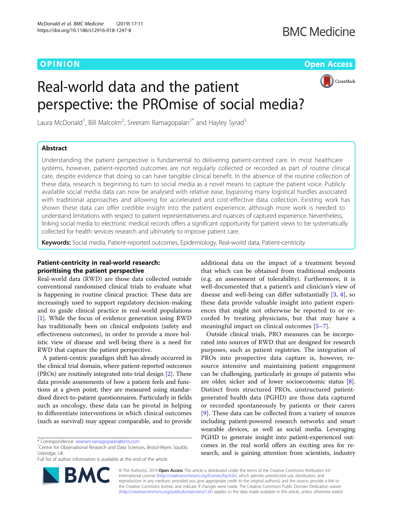O PINION Open Access



# Real-world data and the patient perspective: the PROmise of social media?

Laura McDonald<sup>1</sup>, Bill Malcolm<sup>2</sup>, Sreeram Ramagopalan<sup>1\*</sup> and Hayley Syrad<sup>3</sup>

# Abstract

Understanding the patient perspective is fundamental to delivering patient-centred care. In most healthcare systems, however, patient-reported outcomes are not regularly collected or recorded as part of routine clinical care, despite evidence that doing so can have tangible clinical benefit. In the absence of the routine collection of these data, research is beginning to turn to social media as a novel means to capture the patient voice. Publicly available social media data can now be analysed with relative ease, bypassing many logistical hurdles associated with traditional approaches and allowing for accelerated and cost-effective data collection. Existing work has shown these data can offer credible insight into the patient experience, although more work is needed to understand limitations with respect to patient representativeness and nuances of captured experience. Nevertheless, linking social media to electronic medical records offers a significant opportunity for patient views to be systematically collected for health services research and ultimately to improve patient care.

Keywords: Social media, Patient-reported outcomes, Epidemiology, Real-world data, Patient-centricity

# Patient-centricity in real-world research: prioritising the patient perspective

Real-world data (RWD) are those data collected outside conventional randomised clinical trials to evaluate what is happening in routine clinical practice. These data are increasingly used to support regulatory decision-making and to guide clinical practice in real-world populations [[1\]](#page-3-0). While the focus of evidence generation using RWD has traditionally been on clinical endpoints (safety and effectiveness outcomes), in order to provide a more holistic view of disease and well-being there is a need for RWD that capture the patient perspective.

A patient-centric paradigm shift has already occurred in the clinical trial domain, where patient-reported outcomes (PROs) are routinely integrated into trial design [[2\]](#page-3-0). These data provide assessments of how a patient feels and functions at a given point; they are measured using standardised direct-to-patient questionnaires. Particularly in fields such as oncology, these data can be pivotal in helping to differentiate interventions in which clinical outcomes (such as survival) may appear comparable, and to provide

**BM** 



Outside clinical trials, PRO measures can be incorporated into sources of RWD that are designed for research purposes, such as patient registries. The integration of PROs into prospective data capture is, however, resource intensive and maintaining patient engagement can be challenging, particularly in groups of patients who are older, sicker and of lower socioeconomic status [[8](#page-3-0)]. Distinct from structured PROs, unstructured patientgenerated health data (PGHD) are those data captured or recorded spontaneously by patients or their carers [[9\]](#page-3-0). These data can be collected from a variety of sources including patient-powered research networks and smart wearable devices, as well as social media. Leveraging PGHD to generate insight into patient-experienced outcomes in the real world offers an exciting area for research, and is gaining attention from scientists, industry

© The Author(s). 2019 Open Access This article is distributed under the terms of the Creative Commons Attribution 4.0 International License [\(http://creativecommons.org/licenses/by/4.0/](http://creativecommons.org/licenses/by/4.0/)), which permits unrestricted use, distribution, and reproduction in any medium, provided you give appropriate credit to the original author(s) and the source, provide a link to the Creative Commons license, and indicate if changes were made. The Creative Commons Public Domain Dedication waiver [\(http://creativecommons.org/publicdomain/zero/1.0/](http://creativecommons.org/publicdomain/zero/1.0/)) applies to the data made available in this article, unless otherwise stated.

<sup>\*</sup> Correspondence: [sreeram.ramagopalan@bms.com](mailto:sreeram.ramagopalan@bms.com) <sup>1</sup>

Centre for Observational Research and Data Sciences, Bristol-Myers Squibb, Uxbridge, UK

Full list of author information is available at the end of the article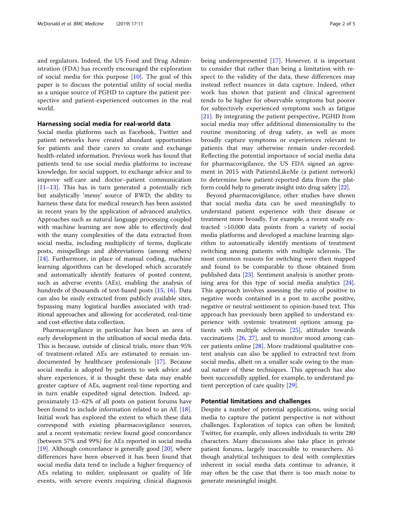and regulators. Indeed, the US Food and Drug Administration (FDA) has recently encouraged the exploration of social media for this purpose  $[10]$  $[10]$ . The goal of this paper is to discuss the potential utility of social media as a unique source of PGHD to capture the patient perspective and patient-experienced outcomes in the real world.

### Harnessing social media for real-world data

Social media platforms such as Facebook, Twitter and patient networks have created abundant opportunities for patients and their carers to create and exchange health-related information. Previous work has found that patients tend to use social media platforms to increase knowledge, for social support, to exchange advice and to improve self-care and doctor–patient communication [[11](#page-3-0)–[13](#page-3-0)]. This has in turn generated a potentially rich but analytically 'messy' source of RWD; the ability to harness these data for medical research has been assisted in recent years by the application of advanced analytics. Approaches such as natural language processing coupled with machine learning are now able to effectively deal with the many complexities of the data extracted from social media, including multiplicity of terms, duplicate posts, misspellings and abbreviations (among others) [[14\]](#page-3-0). Furthermore, in place of manual coding, machine learning algorithms can be developed which accurately and automatically identify features of posted content, such as adverse events (AEs), enabling the analysis of hundreds of thousands of text-based posts [[15,](#page-3-0) [16\]](#page-3-0). Data can also be easily extracted from publicly available sites, bypassing many logistical hurdles associated with traditional approaches and allowing for accelerated, real-time and cost-effective data collection.

Pharmacovigilance in particular has been an area of early development in the utilisation of social media data. This is because, outside of clinical trials, more than 95% of treatment-related AEs are estimated to remain undocumented by healthcare professionals [\[17](#page-3-0)]. Because social media is adopted by patients to seek advice and share experiences, it is thought these data may enable greater capture of AEs, augment real-time reporting and in turn enable expedited signal detection. Indeed, approximately 12–62% of all posts on patient forums have been found to include information related to an AE [\[18](#page-3-0)]. Initial work has explored the extent to which these data correspond with existing pharmacovigilance sources, and a recent systematic review found good concordance (between 57% and 99%) for AEs reported in social media [[19\]](#page-3-0). Although concordance is generally good [\[20\]](#page-3-0), where differences have been observed it has been found that social media data tend to include a higher frequency of AEs relating to milder, unpleasant or quality of life events, with severe events requiring clinical diagnosis being underrepresented [[17\]](#page-3-0). However, it is important to consider that rather than being a limitation with respect to the validity of the data, these differences may instead reflect nuances in data capture. Indeed, other work has shown that patient and clinical agreement tends to be higher for observable symptoms but poorer for subjectively experienced symptoms such as fatigue [[21\]](#page-3-0). By integrating the patient perspective, PGHD from social media may offer additional dimensionality to the routine monitoring of drug safety, as well as more broadly capture symptoms or experiences relevant to patients that may otherwise remain under-recorded. Reflecting the potential importance of social media data for pharmacovigilance, the US FDA signed an agreement in 2015 with PatientsLikeMe (a patient network) to determine how patient-reported data from the platform could help to generate insight into drug safety [\[22\]](#page-3-0).

Beyond pharmacovigilance, other studies have shown that social media data can be used meaningfully to understand patient experience with their disease or treatment more broadly. For example, a recent study extracted >10,000 data points from a variety of social media platforms and developed a machine learning algorithm to automatically identify mentions of treatment switching among patients with multiple sclerosis. The most common reasons for switching were then mapped and found to be comparable to those obtained from published data [[23\]](#page-3-0). Sentiment analysis is another promising area for this type of social media analytics [\[24](#page-3-0)]. This approach involves assessing the ratio of positive to negative words contained in a post to ascribe positive, negative or neutral sentiment to opinion-based text. This approach has previously been applied to understand experience with systemic treatment options among patients with multiple sclerosis [[25\]](#page-4-0), attitudes towards vaccinations [\[26](#page-4-0), [27\]](#page-4-0), and to monitor mood among cancer patients online [[28](#page-4-0)]. More traditional qualitative content analysis can also be applied to extracted text from social media, albeit on a smaller scale owing to the manual nature of these techniques. This approach has also been successfully applied, for example, to understand pa-tient perception of care quality [\[29](#page-4-0)].

# Potential limitations and challenges

Despite a number of potential applications, using social media to capture the patient perspective is not without challenges. Exploration of topics can often be limited; Twitter, for example, only allows individuals to write 280 characters. Many discussions also take place in private patient forums, largely inaccessible to researchers. Although analytical techniques to deal with complexities inherent in social media data continue to advance, it may often be the case that there is too much noise to generate meaningful insight.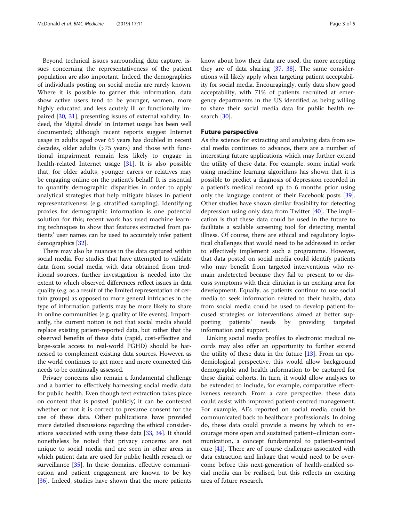Beyond technical issues surrounding data capture, issues concerning the representativeness of the patient population are also important. Indeed, the demographics of individuals posting on social media are rarely known. Where it is possible to garner this information, data show active users tend to be younger, women, more highly educated and less acutely ill or functionally impaired [[30,](#page-4-0) [31\]](#page-4-0), presenting issues of external validity. Indeed, the 'digital divide' in Internet usage has been well documented; although recent reports suggest Internet usage in adults aged over 65 years has doubled in recent decades, older adults (>75 years) and those with functional impairment remain less likely to engage in health-related Internet usage [[31\]](#page-4-0). It is also possible that, for older adults, younger carers or relatives may be engaging online on the patient's behalf. It is essential to quantify demographic disparities in order to apply analytical strategies that help mitigate biases in patient representativeness (e.g. stratified sampling). Identifying proxies for demographic information is one potential solution for this; recent work has used machine learning techniques to show that features extracted from patients' user names can be used to accurately infer patient demographics [\[32\]](#page-4-0).

There may also be nuances in the data captured within social media. For studies that have attempted to validate data from social media with data obtained from traditional sources, further investigation is needed into the extent to which observed differences reflect issues in data quality (e.g. as a result of the limited representation of certain groups) as opposed to more general intricacies in the type of information patients may be more likely to share in online communities (e.g. quality of life events). Importantly, the current notion is not that social media should replace existing patient-reported data, but rather that the observed benefits of these data (rapid, cost-effective and large-scale access to real-world PGHD) should be harnessed to complement existing data sources. However, as the world continues to get more and more connected this needs to be continually assessed.

Privacy concerns also remain a fundamental challenge and a barrier to effectively harnessing social media data for public health. Even though text extraction takes place on content that is posted 'publicly', it can be contested whether or not it is correct to presume consent for the use of these data. Other publications have provided more detailed discussions regarding the ethical considerations associated with using these data [[33,](#page-4-0) [34\]](#page-4-0). It should nonetheless be noted that privacy concerns are not unique to social media and are seen in other areas in which patient data are used for public health research or surveillance [\[35\]](#page-4-0). In these domains, effective communication and patient engagement are known to be key [[36\]](#page-4-0). Indeed, studies have shown that the more patients know about how their data are used, the more accepting they are of data sharing  $[37, 38]$  $[37, 38]$  $[37, 38]$ . The same considerations will likely apply when targeting patient acceptability for social media. Encouragingly, early data show good acceptability, with 71% of patients recruited at emergency departments in the US identified as being willing to share their social media data for public health research [[30\]](#page-4-0).

# Future perspective

As the science for extracting and analysing data from social media continues to advance, there are a number of interesting future applications which may further extend the utility of these data. For example, some initial work using machine learning algorithms has shown that it is possible to predict a diagnosis of depression recorded in a patient's medical record up to 6 months prior using only the language content of their Facebook posts [\[39](#page-4-0)]. Other studies have shown similar feasibility for detecting depression using only data from Twitter [[40](#page-4-0)]. The implication is that these data could be used in the future to facilitate a scalable screening tool for detecting mental illness. Of course, there are ethical and regulatory logistical challenges that would need to be addressed in order to effectively implement such a programme. However, that data posted on social media could identify patients who may benefit from targeted interventions who remain undetected because they fail to present to or discuss symptoms with their clinician is an exciting area for development. Equally, as patients continue to use social media to seek information related to their health, data from social media could be used to develop patient-focused strategies or interventions aimed at better supporting patients' needs by providing targeted information and support.

Linking social media profiles to electronic medical records may also offer an opportunity to further extend the utility of these data in the future  $[13]$ . From an epidemiological perspective, this would allow background demographic and health information to be captured for these digital cohorts. In turn, it would allow analyses to be extended to include, for example, comparative effectiveness research. From a care perspective, these data could assist with improved patient-centred management. For example, AEs reported on social media could be communicated back to healthcare professionals. In doing do, these data could provide a means by which to encourage more open and sustained patient–clinician communication, a concept fundamental to patient-centred care [\[41\]](#page-4-0). There are of course challenges associated with data extraction and linkage that would need to be overcome before this next-generation of health-enabled social media can be realised, but this reflects an exciting area of future research.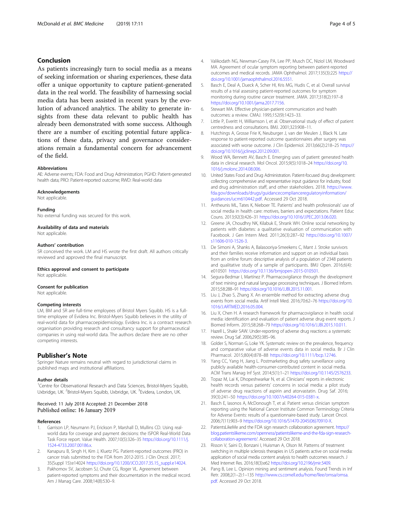# <span id="page-3-0"></span>Conclusion

As patients increasingly turn to social media as a means of seeking information or sharing experiences, these data offer a unique opportunity to capture patient-generated data in the real world. The feasibility of harnessing social media data has been assisted in recent years by the evolution of advanced analytics. The ability to generate insights from these data relevant to public health has already been demonstrated with some success. Although there are a number of exciting potential future applications of these data, privacy and governance considerations remain a fundamental concern for advancement of the field.

#### **Abbreviations**

AE: Adverse events; FDA: Food and Drug Administration; PGHD: Patient-generated health data; PRO: Patient-reported outcome; RWD: Real-world data

#### Acknowledgements

Not applicable.

#### Funding

No external funding was secured for this work.

### Availability of data and materials

Not applicable.

#### Authors' contribution

SR conceived the work. LM and HS wrote the first draft. All authors critically reviewed and approved the final manuscript.

#### Ethics approval and consent to participate

Not applicable.

### Consent for publication

Not applicable.

#### Competing interests

LM, BM and SR are full-time employees of Bristol Myers Squibb. HS is a fulltime employee of Evidera Inc. Bristol-Myers Squibb believes in the utility of real-world data for pharmacoepidemiology. Evidera Inc. is a contract research organisation providing research and consultancy support for pharmaceutical companies in using real-world data. The authors declare there are no other competing interests.

# Publisher's Note

Springer Nature remains neutral with regard to jurisdictional claims in published maps and institutional affiliations.

#### Author details

<sup>1</sup>Centre for Observational Research and Data Sciences, Bristol-Myers Squibb, Uxbridge, UK. <sup>2</sup>Bristol-Myers Squibb, Uxbridge, UK. <sup>3</sup>Evidera, London, UK.

# Received: 11 July 2018 Accepted: 21 December 2018 Published online: 16 January 2019

#### References

- 1. Garrison LP, Neumann PJ, Erickson P, Marshall D, Mullins CD. Using realworld data for coverage and payment decisions: the ISPOR Real-World Data Task Force report. Value Health. 2007;10(5):326–35 [https://doi.org/10.1111/j.](https://doi.org/10.1111/j.1524-4733.2007.00186.x) [1524-4733.2007.00186.x](https://doi.org/10.1111/j.1524-4733.2007.00186.x).
- 2. Kanapuru B, Singh H, Kim J, Kluetz PG. Patient-reported outcomes (PRO) in cancer trials submitted to the FDA from 2012-2015. J Clin Oncol. 2017; 35(Suppl 15):e14024 [https://doi.org/10.1200/JCO.2017.35.15\\_suppl.e14024](https://doi.org/10.1200/JCO.2017.35.15_suppl.e14024).
- 3. Pakhomov SV, Jacobsen SJ, Chute CG, Roger VL. Agreement between patient-reported symptoms and their documentation in the medical record. Am J Manag Care. 2008;14(8):530–9.
- 4. Valikodath NG, Newman-Casey PA, Lee PP, Musch DC, Niziol LM, Woodward MA. Agreement of ocular symptom reporting between patient-reported outcomes and medical records. JAMA Ophthalmol. 2017;135(3):225 [https://](https://doi.org/10.1001/jamaophthalmol.2016.5551) [doi.org/10.1001/jamaophthalmol.2016.5551.](https://doi.org/10.1001/jamaophthalmol.2016.5551)
- Basch E, Deal A, Dueck A, Scher HI, Kris MG, Hudis C, et al. Overall survival results of a trial assessing patient-reported outcomes for symptom monitoring during routine cancer treatment. JAMA. 2017;318(2):197–8 <https://doi.org/10.1001/jama.2017.7156>.
- 6. Stewart MA. Effective physician-patient communication and health outcomes: a review. CMAJ. 1995;152(9):1423–33.
- 7. Little P, Everitt H, Williamson I, et al. Observational study of effect of patient centredness and consultations. BMJ. 2001;323:908–11.
- 8. Hutchings A, Grosse Frie K, Neuburger J, van der Meulen J, Black N. Late response to patient-reported outcome questionnaires after surgery was associated with worse outcome. J Clin Epidemiol. 2013;66(2):218–25 [https://](https://doi.org/10.1016/j.jclinepi.2012.09.001) [doi.org/10.1016/j.jclinepi.2012.09.001](https://doi.org/10.1016/j.jclinepi.2012.09.001).
- 9. Wood WA, Bennett AV, Basch E. Emerging uses of patient generated health data in clinical research. Mol Oncol. 2015;9(5):1018–24 [https://doi.org/10.](https://doi.org/10.1016/j.molonc.2014.08.006) [1016/j.molonc.2014.08.006.](https://doi.org/10.1016/j.molonc.2014.08.006)
- 10. United States Food and Drug Administration. Patient-focused drug development: collecting comprehensive and representative input guidance for industry, food and drug administration staff, and other stakeholders. 2018. [https://www.](https://www.fda.gov/downloads/drugs/guidancecomplianceregulatoryinformation/guidances/ucm610442.pdf) [fda.gov/downloads/drugs/guidancecomplianceregulatoryinformation/](https://www.fda.gov/downloads/drugs/guidancecomplianceregulatoryinformation/guidances/ucm610442.pdf) [guidances/ucm610442.pdf](https://www.fda.gov/downloads/drugs/guidancecomplianceregulatoryinformation/guidances/ucm610442.pdf). Accessed 29 Oct 2018.
- 11. Antheunis ML, Tates K, Nieboer TE. Patients' and health professionals' use of social media in health care: motives, barriers and expectations. Patient Educ Couns. 2013;92(3):426–31 [https://doi.org/10.1016/J.PEC.2013.06.020.](https://doi.org/10.1016/J.PEC.2013.06.020)
- 12. Greene JA, Choudhry NK, Kilabuk E, Shrank WH. Online social networking by patients with diabetes: a qualitative evaluation of communication with Facebook. J Gen Intern Med. 2011;26(3):287–92 [https://doi.org/10.1007/](https://doi.org/10.1007/s11606-010-1526-3) [s11606-010-1526-3](https://doi.org/10.1007/s11606-010-1526-3).
- 13. De Simoni A, Shanks A, Balasooriya-Smeekens C, Mant J. Stroke survivors and their families receive information and support on an individual basis from an online forum: descriptive analysis of a population of 2348 patients and qualitative study of a sample of participants. BMJ Open. 2016;6(4): e010501 <https://doi.org/10.1136/bmjopen-2015-010501>.
- 14. Segura-Bedmar I, Martínez P. Pharmacovigilance through the development of text mining and natural language processing techniques. J Biomed Inform. 2015;58:288–91 [https://doi.org/10.1016/J.JBI.2015.11.001.](https://doi.org/10.1016/J.JBI.2015.11.001)
- 15. Liu J, Zhao S, Zhang X. An ensemble method for extracting adverse drug events from social media. Artif Intell Med. 2016;70:62–76 [https://doi.org/10.](https://doi.org/10.1016/J.ARTMED.2016.05.004) [1016/J.ARTMED.2016.05.004](https://doi.org/10.1016/J.ARTMED.2016.05.004).
- 16. Liu X, Chen H. A research framework for pharmacovigilance in health social media: identification and evaluation of patient adverse drug event reports. J Biomed Inform. 2015;58:268–79 <https://doi.org/10.1016/J.JBI.2015.10.011>.
- 17. Hazell L, Shakir SAW. Under-reporting of adverse drug reactions: a systematic review. Drug Saf. 2006;29(5):385–96.
- 18. Golder S, Norman G, Loke YK. Systematic review on the prevalence, frequency and comparative value of adverse events data in social media. Br J Clin Pharmacol. 2015;80(4):878–88 [https://doi.org/10.1111/bcp.12746.](https://doi.org/10.1111/bcp.12746)
- 19. Yang CC, Yang H, Jiang L. Postmarketing drug safety surveillance using publicly available health-consumer-contributed content in social media. ACM Trans Manag Inf Syst. 2014;5(1):1–21 <https://doi.org/10.1145/2576233>.
- 20. Topaz M, Lai K, Dhopeshwarkar N, et al. Clinicians' reports in electronic health records versus patients' concerns in social media: a pilot study of adverse drug reactions of aspirin and atorvastatin. Drug Saf. 2016; 39(3):241–50 <https://doi.org/10.1007/s40264-015-0381-x>.
- 21. Basch E, Iasonos A, McDonough T, et al. Patient versus clinician symptom reporting using the National Cancer Institute Common Terminology Criteria for Adverse Events: results of a questionnaire-based study. Lancet Oncol. 2006;7(11):903–9 [https://doi.org/10.1016/S1470-2045\(06\)70910-X](https://doi.org/10.1016/S1470-2045(06)70910-X).
- 22. PatientsLikeMe and the FDA sign research collaboration agreement. [https://](https://blog.patientslikeme.com/openness/patientslikeme-and-the-fda-sign-research-collaboration-agreement/) [blog.patientslikeme.com/openness/patientslikeme-and-the-fda-sign-research](https://blog.patientslikeme.com/openness/patientslikeme-and-the-fda-sign-research-collaboration-agreement/)[collaboration-agreement/](https://blog.patientslikeme.com/openness/patientslikeme-and-the-fda-sign-research-collaboration-agreement/). Accessed 29 Oct 2018.
- 23. Risson V, Saini D, Bonzani I, Huisman A, Olson M. Patterns of treatment switching in multiple sclerosis therapies in US patients active on social media: application of social media content analysis to health outcomes research. J Med Internet Res. 2016;18(3):e62 [https://doi.org/10.2196/jmir.5409.](https://doi.org/10.2196/jmir.5409)
- 24. Pang B, Lee L. Opinion mining and sentiment analysis. Found Trends in Inf Retr. 2008;2(1–2):1–135 [http://www.cs.cornell.edu/home/llee/omsa/omsa.](http://www.cs.cornell.edu/home/llee/omsa/omsa.pdf) [pdf](http://www.cs.cornell.edu/home/llee/omsa/omsa.pdf). Accessed 29 Oct 2018.